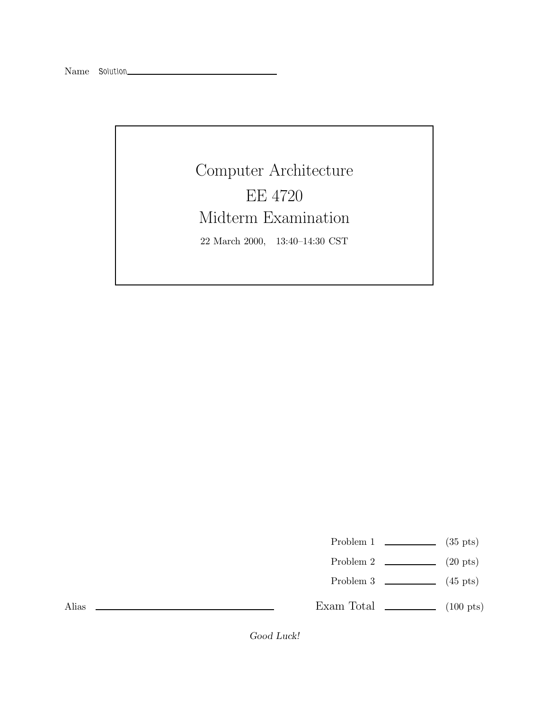## Computer Architecture EE 4720 Midterm Examination 22 March 2000, 13:40–14:30 CST

- Problem 1  $\qquad \qquad$  (35 pts)
- Problem 2  $\qquad \qquad$  (20 pts)
- Problem 3  $\qquad \qquad$  (45 pts)

Exam Total  $\qquad \qquad$  (100 pts)

Alias

*Good Luck!*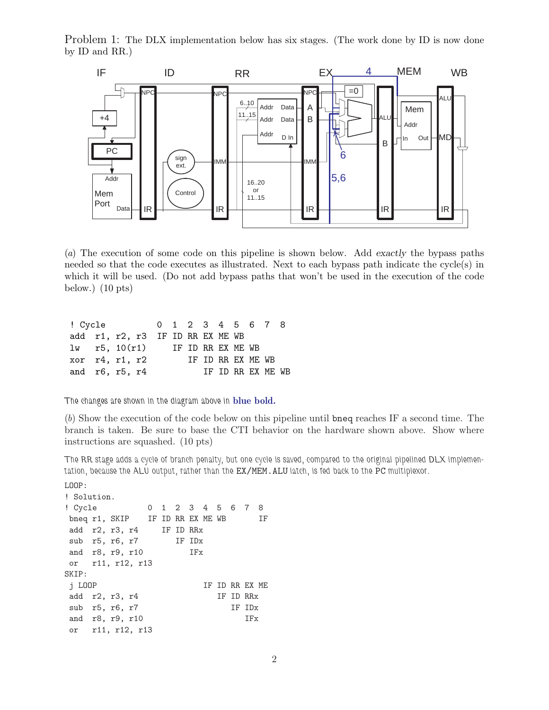Problem 1: The DLX implementation below has six stages. (The work done by ID is now done by ID and RR.)



(a) The execution of some code on this pipeline is shown below. Add *exactly* the bypass paths needed so that the code executes as illustrated. Next to each bypass path indicate the cycle(s) in which it will be used. (Do not add bypass paths that won't be used in the execution of the code below.) (10 pts)

| ! Cycle 0 1 2 3 4 5 6 7 8           |  |  |  |                   |  |                   |  |
|-------------------------------------|--|--|--|-------------------|--|-------------------|--|
| add r1, r2, r3 IF ID RR EX ME WB    |  |  |  |                   |  |                   |  |
| $1w$ r5, $10(r1)$ IF ID RR EX ME WB |  |  |  |                   |  |                   |  |
| $xor$ $r4, r1, r2$                  |  |  |  | IF ID RR EX ME WB |  |                   |  |
| and $r6$ , $r5$ , $r4$              |  |  |  |                   |  | IF ID RR EX ME WB |  |

*The changes are shown in the diagram above in* **blue bold.**

(b) Show the execution of the code below on this pipeline until bneq reaches IF a second time. The branch is taken. Be sure to base the CTI behavior on the hardware shown above. Show where instructions are squashed. (10 pts)

*The RR stage adds a cycle of branch penalty, but one cycle is saved, compared to the original pipelined DLX implementation, because the ALU output, rather than the* EX/MEM.ALU *latch, is fed back to the* PC *multiplexor.*

```
LOOP:
! Solution.
! Cycle 012345678
bneq r1, SKIP IF ID RR EX ME WB IF
add r2, r3, r4 IF ID RRx
sub r5, r6, r7 IF IDx
and r8, r9, r10 IFx
or r11, r12, r13
SKIP:
j LOOP TF ID RR EX ME
add r2, r3, r4 IF ID RRx
sub r5, r6, r7 IF IDx
and r8, r9, r10 IFx
or r11, r12, r13
```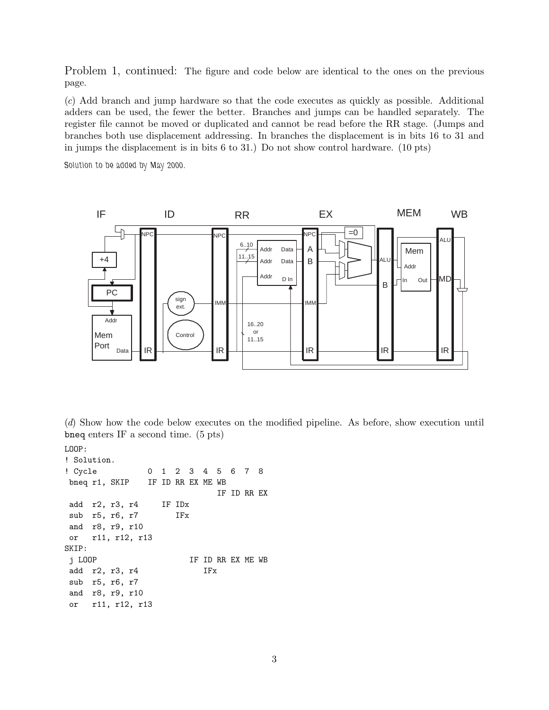Problem 1, continued: The figure and code below are identical to the ones on the previous page.

(c) Add branch and jump hardware so that the code executes as quickly as possible. Additional adders can be used, the fewer the better. Branches and jumps can be handled separately. The register file cannot be moved or duplicated and cannot be read before the RR stage. (Jumps and branches both use displacement addressing. In branches the displacement is in bits 16 to 31 and in jumps the displacement is in bits 6 to 31.) Do not show control hardware. (10 pts)

*Solution to be added by May 2000.*



(d) Show how the code below executes on the modified pipeline. As before, show execution until bneq enters IF a second time. (5 pts)

LOOP: ! Solution. ! Cycle 012345678 bneq r1, SKIP IF ID RR EX ME WB IF ID RR EX add r2, r3, r4 IF IDx sub r5, r6, r7 IFx and r8, r9, r10 or r11, r12, r13 SKIP: j LOOP **IF ID RR EX ME WB** add r2, r3, r4 IFx sub r5, r6, r7 and r8, r9, r10 or r11, r12, r13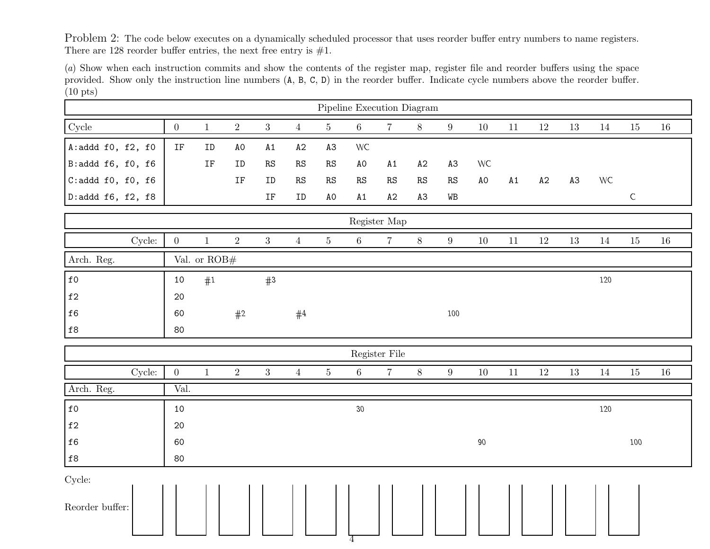Problem 2: The code below executes on a dynamically scheduled processor that uses reorder buffer entry numbers to name registers. There are 128 reorder buffer entries, the next free entry is  $\#1$ .

(a) Show when each instruction commits and show the contents of the register map, register file and reorder buffers using the space provided. Show only the instruction line numbers ( <sup>A</sup>, <sup>B</sup>, <sup>C</sup>, <sup>D</sup>) in the reorder buffer. Indicate cycle numbers above the reorder buffer. (10 pts)

| Pipeline Execution Diagram   |                     |                     |            |                     |                            |                            |               |                        |                        |                         |                        |               |        |                |        |             |        |
|------------------------------|---------------------|---------------------|------------|---------------------|----------------------------|----------------------------|---------------|------------------------|------------------------|-------------------------|------------------------|---------------|--------|----------------|--------|-------------|--------|
| Cycle                        | $\boldsymbol{0}$    | $\mathbf{1}$        | $\sqrt{2}$ | $\sqrt{3}$          | $\overline{4}$             | $5\,$                      | $6\,$         | $\overline{7}$         | $8\,$                  | $\boldsymbol{9}$        | $10\,$                 | $11\,$        | $12\,$ | $13\,$         | $14\,$ | 15          | $16\,$ |
| A:addd $f0$ , $f2$ , $f0$    | $\operatorname{IF}$ | ID                  | A0         | A1                  | $\mathtt{A}2$              | A3                         | WC            |                        |                        |                         |                        |               |        |                |        |             |        |
| B:addd f6, f0, f6            |                     | $\operatorname{IF}$ | ID         | $\mathbf{RS}$       | $\mathop{\rm RS}\nolimits$ | $\mathbf{RS}$              | A0            | A1                     | A2                     | A3                      | $\mathsf{W}\mathsf{C}$ |               |        |                |        |             |        |
| C: addd f0, f0, f6           |                     |                     | $\rm IF$   | ID                  | $\mathop{\rm RS}\nolimits$ | $\mathop{\rm RS}\nolimits$ | $\mathbf{RS}$ | $\mathbb{R}\mathbb{S}$ | $\mathbb{R}\mathbb{S}$ | $\mathbb{R}\mathcal{S}$ | $\rm{A}O$              | $\mathtt{A1}$ | A2     | A <sub>3</sub> | WC     |             |        |
| D:addd f6, f2, f8            |                     |                     |            | $\operatorname{IF}$ | ID                         | A0                         | A1            | A2                     | A3                     | WB                      |                        |               |        |                |        | $\mathsf C$ |        |
| Register Map                 |                     |                     |            |                     |                            |                            |               |                        |                        |                         |                        |               |        |                |        |             |        |
| Cycle:                       | $\overline{0}$      | $\mathbf{1}$        | $\sqrt{2}$ | $\overline{3}$      | $\overline{4}$             | $\bf 5$                    | $6\,$         | $\,7$                  | $8\,$                  | $\boldsymbol{9}$        | $10\,$                 | $11\,$        | $12\,$ | $13\,$         | $14\,$ | 15          | $16\,$ |
| Arch. Reg.<br>Val. or $ROB#$ |                     |                     |            |                     |                            |                            |               |                        |                        |                         |                        |               |        |                |        |             |        |
| $\mathtt{f0}$                | 10                  | #1                  |            | #3                  |                            |                            |               |                        |                        |                         |                        |               |        |                | 120    |             |        |
| $\mathtt{f}2$                | 20                  |                     |            |                     |                            |                            |               |                        |                        |                         |                        |               |        |                |        |             |        |
| $\mathtt{f6}$                | 60                  |                     | #2         |                     | #4                         |                            |               |                        |                        | 100                     |                        |               |        |                |        |             |        |
| $\mathtt{f}8$                | 80                  |                     |            |                     |                            |                            |               |                        |                        |                         |                        |               |        |                |        |             |        |
|                              |                     |                     |            |                     |                            |                            |               | Register File          |                        |                         |                        |               |        |                |        |             |        |
| Cycle:                       | $\overline{0}$      | $\mathbf{1}$        | $\sqrt{2}$ | $\overline{3}$      | $\overline{4}$             | $\bf 5$                    | $6\,$         | $\,7$                  | $8\,$                  | $\boldsymbol{9}$        | $10\,$                 | $11\,$        | $12\,$ | $13\,$         | 14     | $15\,$      | $16\,$ |
| Arch. Reg.                   | Val.                |                     |            |                     |                            |                            |               |                        |                        |                         |                        |               |        |                |        |             |        |
| $\mathtt{f0}$                | 10                  |                     |            |                     |                            |                            | $30\,$        |                        |                        |                         |                        |               |        |                | 120    |             |        |
| $\mathtt{f}2$                | 20                  |                     |            |                     |                            |                            |               |                        |                        |                         |                        |               |        |                |        |             |        |
| $\mathtt{f6}$                | 60                  |                     |            |                     |                            |                            |               |                        |                        |                         | 90                     |               |        |                |        | 100         |        |
| $^{\rm f8}$                  | 80                  |                     |            |                     |                            |                            |               |                        |                        |                         |                        |               |        |                |        |             |        |
| Cycle:                       |                     |                     |            |                     |                            |                            |               |                        |                        |                         |                        |               |        |                |        |             |        |
| Reorder buffer:              |                     |                     |            |                     |                            |                            | 4             |                        |                        |                         |                        |               |        |                |        |             |        |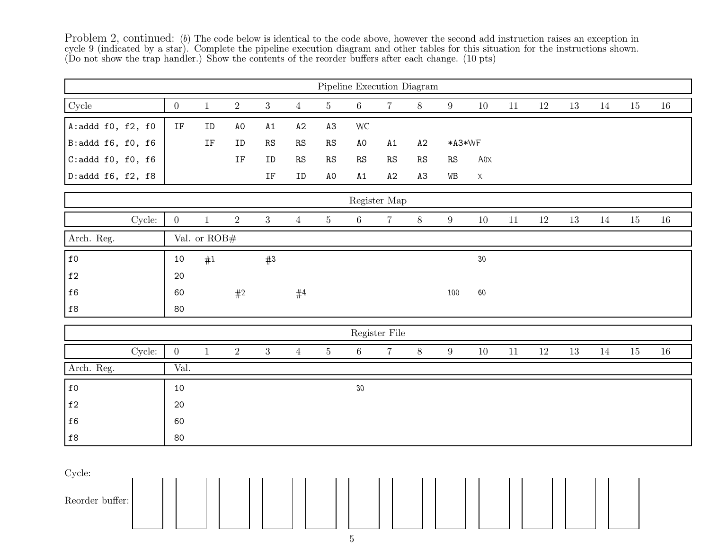Problem 2, continued: (b) The code below is identical to the code above, however the second add instruction raises an exception in cycle 9 (indicated by a star). Complete the pipeline execution diagram and other tables for this situation for the instructions shown.<br>(Do not show the trap handler.) Show the contents of the reorder buffers after each cha

| Pipeline Execution Diagram    |                     |                     |                     |                        |                            |                            |                        |                |               |                  |             |        |        |        |        |        |        |
|-------------------------------|---------------------|---------------------|---------------------|------------------------|----------------------------|----------------------------|------------------------|----------------|---------------|------------------|-------------|--------|--------|--------|--------|--------|--------|
| ${\rm Cycle}$                 | $\overline{0}$      | $\mathbf{1}$        | $\sqrt{2}$          | $\overline{3}$         | $\overline{4}$             | $\bf 5$                    | $6\,$                  | $\,7$          | $8\,$         | $\boldsymbol{9}$ | 10          | $11\,$ | $12\,$ | $13\,$ | $14\,$ | $15\,$ | $16\,$ |
| A:addd $f0$ , $f2$ , $f0$     | $\operatorname{IF}$ | ID                  | $\hbox{A}\hbox{O}$  | $\mathtt{A1}$          | $\mathtt{A}2$              | A3                         | WC                     |                |               |                  |             |        |        |        |        |        |        |
| B:addd f6, f0, f6             |                     | $\operatorname{IF}$ | ${\tt ID}$          | $\mathbf{R}\mathbf{S}$ | $\mathbb{R}\mathcal{S}$    | ${\rm RS}$                 | A0                     | A1             | A2            | $*$ A3 $*$ WF    |             |        |        |        |        |        |        |
| C: addd f0, f0, f6            |                     |                     | $\operatorname{IF}$ | ID                     | $\mathop{\rm RS}\nolimits$ | $\mathop{\rm RS}\nolimits$ | $\mathbf{R}\mathbf{S}$ | $\mathbf{RS}$  | $\mathbf{RS}$ | ${\rm RS}$       | A0x         |        |        |        |        |        |        |
| D:addd f6, f2, f8             |                     |                     |                     | $\rm IF$               | ${\tt ID}$                 | $\hbox{\rm AO}$            | A1                     | A2             | A3            | $\mathtt{WB}$    | $\mathsf X$ |        |        |        |        |        |        |
| Register Map                  |                     |                     |                     |                        |                            |                            |                        |                |               |                  |             |        |        |        |        |        |        |
| Cycle:                        | $\mathbf{0}$        | $\mathbf{1}$        | $\overline{2}$      | $\overline{3}$         | $\overline{4}$             | $\bf 5$                    | $6\,$                  | $\,7$          | $8\,$         | $\boldsymbol{9}$ | $10\,$      | $11\,$ | 12     | $13\,$ | 14     | $15\,$ | $16\,$ |
| Val. or $ROB\#$<br>Arch. Reg. |                     |                     |                     |                        |                            |                            |                        |                |               |                  |             |        |        |        |        |        |        |
| $\mathtt{f0}$                 | $10\,$              | #1                  |                     | #3                     |                            |                            |                        |                |               |                  | $30\,$      |        |        |        |        |        |        |
| $\mathtt{f2}$                 | 20                  |                     |                     |                        |                            |                            |                        |                |               |                  |             |        |        |        |        |        |        |
| $\mathtt{f6}$                 | 60                  |                     | #2                  |                        | #4                         |                            |                        |                |               | 100              | $60\,$      |        |        |        |        |        |        |
| $\mathtt{f}8$                 | 80                  |                     |                     |                        |                            |                            |                        |                |               |                  |             |        |        |        |        |        |        |
|                               |                     |                     |                     |                        |                            |                            |                        | Register File  |               |                  |             |        |        |        |        |        |        |
| Cycle:                        | $\overline{0}$      | $1\,$               | $\sqrt{2}$          | $\sqrt{3}$             | $\overline{4}$             | $\bf 5$                    | $6\phantom{.}$         | $\overline{7}$ | $8\,$         | $9\,$            | $10\,$      | 11     | $12\,$ | $13\,$ | $14\,$ | $15\,$ | $16\,$ |
| Arch. Reg.                    | Val.                |                     |                     |                        |                            |                            |                        |                |               |                  |             |        |        |        |        |        |        |
| $\mathtt{f0}$                 | $10\,$              |                     |                     |                        |                            |                            | $30\,$                 |                |               |                  |             |        |        |        |        |        |        |
| $\mathtt{f2}$                 | 20                  |                     |                     |                        |                            |                            |                        |                |               |                  |             |        |        |        |        |        |        |
| $\mathtt{f6}$                 | 60                  |                     |                     |                        |                            |                            |                        |                |               |                  |             |        |        |        |        |        |        |
| $\mathtt{f}8$                 | 80                  |                     |                     |                        |                            |                            |                        |                |               |                  |             |        |        |        |        |        |        |
| Cycle:<br>Reorder buffer:     |                     |                     |                     |                        |                            |                            |                        |                |               |                  |             |        |        |        |        |        |        |
|                               |                     |                     |                     |                        |                            |                            |                        |                |               |                  |             |        |        |        |        |        |        |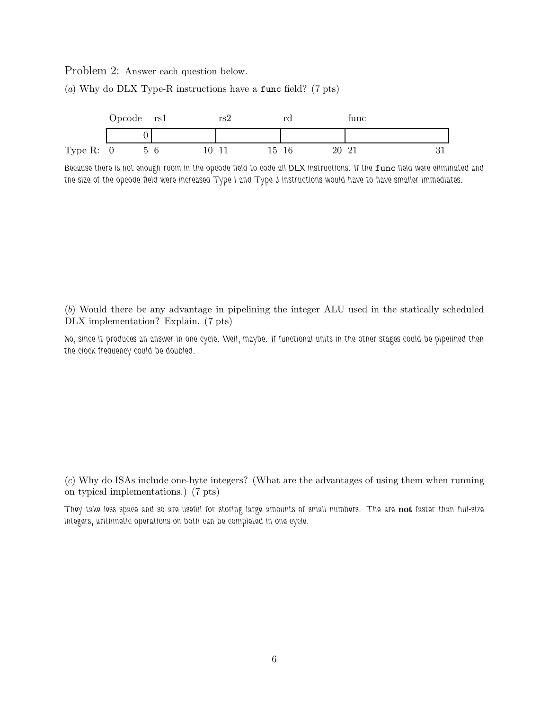Problem 2: Answer each question below.

(a) Why do DLX Type-R instructions have a func field? (7 pts)



*Because there is not enough room in the opcode field to code all DLX instructions. If the* func *field were eliminated and the size of the opcode field were increased Type I and Type J instructions would have to have smaller immediates.*

(b) Would there be any advantage in pipelining the integer ALU used in the statically scheduled DLX implementation? Explain. (7 pts)

*No, since it produces an answer in one cycle. Well, maybe. If functional units in the other stages could be pipelined then the clock frequency could be doubled.*

(c) Why do ISAs include one-byte integers? (What are the advantages of using them when running on typical implementations.) (7 pts)

*They take less space and so are useful for storing large amounts of small numbers. The are* **not** *faster than full-size integers, arithmetic operations on both can be completed in one cycle.*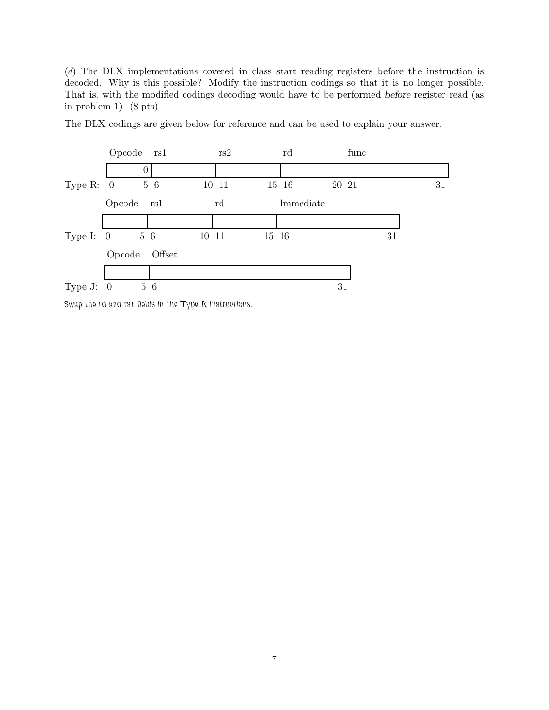(d) The DLX implementations covered in class start reading registers before the instruction is decoded. Why is this possible? Modify the instruction codings so that it is no longer possible. That is, with the modified codings decoding would have to be performed *before* register read (as in problem 1). (8 pts)



The DLX codings are given below for reference and can be used to explain your answer.

*Swap the rd and rs1 fields in the Type R instructions.*